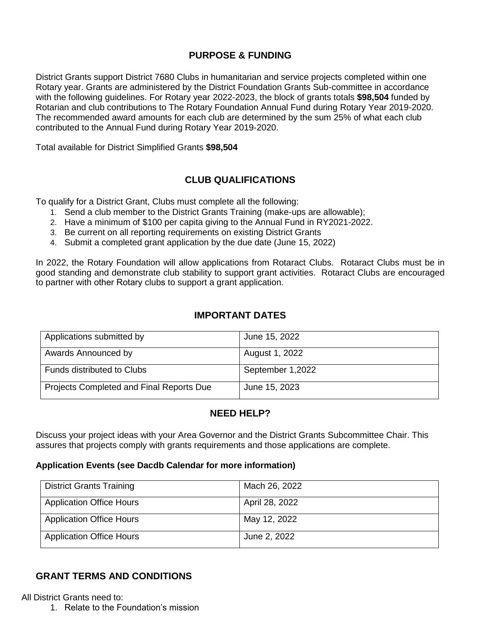## **PURPOSE & FUNDING**

District Grants support District 7680 Clubs in humanitarian and service projects completed within one Rotary year. Grants are administered by the District Foundation Grants Sub-committee in accordance with the following guidelines. For Rotary year 2022-2023, the block of grants totals **\$98,504** funded by Rotarian and club contributions to The Rotary Foundation Annual Fund during Rotary Year 2019-2020. The recommended award amounts for each club are determined by the sum 25% of what each club contributed to the Annual Fund during Rotary Year 2019-2020.

Total available for District Simplified Grants **\$98,504**

## **CLUB QUALIFICATIONS**

To qualify for a District Grant, Clubs must complete all the following:

- 1. Send a club member to the District Grants Training (make-ups are allowable);
- 2. Have a minimum of \$100 per capita giving to the Annual Fund in RY2021-2022.
- 3. Be current on all reporting requirements on existing District Grants
- 4. Submit a completed grant application by the due date (June 15, 2022)

In 2022, the Rotary Foundation will allow applications from Rotaract Clubs. Rotaract Clubs must be in good standing and demonstrate club stability to support grant activities. Rotaract Clubs are encouraged to partner with other Rotary clubs to support a grant application.

## **IMPORTANT DATES**

| Applications submitted by                | June 15, 2022    |
|------------------------------------------|------------------|
| Awards Announced by                      | August 1, 2022   |
| <b>Funds distributed to Clubs</b>        | September 1,2022 |
| Projects Completed and Final Reports Due | June 15, 2023    |

### **NEED HELP?**

Discuss your project ideas with your Area Governor and the District Grants Subcommittee Chair. This assures that projects comply with grants requirements and those applications are complete.

#### **Application Events (see Dacdb Calendar for more information)**

| <b>District Grants Training</b> | Mach 26, 2022  |
|---------------------------------|----------------|
| <b>Application Office Hours</b> | April 28, 2022 |
| <b>Application Office Hours</b> | May 12, 2022   |
| <b>Application Office Hours</b> | June 2, 2022   |

### **GRANT TERMS AND CONDITIONS**

All District Grants need to:

1. Relate to the Foundation's mission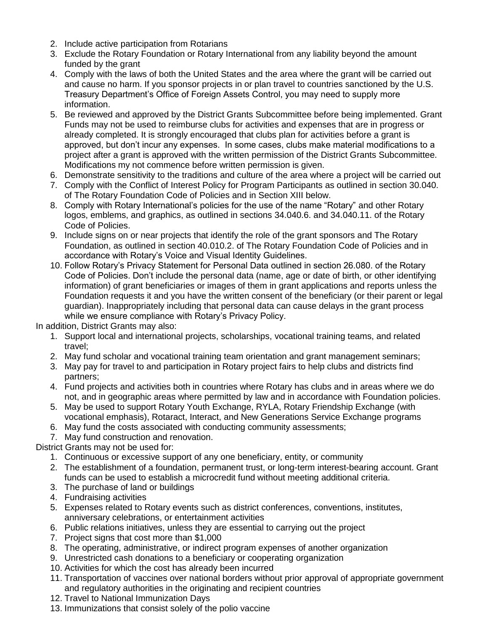- 2. Include active participation from Rotarians
- 3. Exclude the Rotary Foundation or Rotary International from any liability beyond the amount funded by the grant
- 4. Comply with the laws of both the United States and the area where the grant will be carried out and cause no harm. If you sponsor projects in or plan travel to countries sanctioned by the U.S. Treasury Department's Office of Foreign Assets Control, you may need to supply more information.
- 5. Be reviewed and approved by the District Grants Subcommittee before being implemented. Grant Funds may not be used to reimburse clubs for activities and expenses that are in progress or already completed. It is strongly encouraged that clubs plan for activities before a grant is approved, but don't incur any expenses. In some cases, clubs make material modifications to a project after a grant is approved with the written permission of the District Grants Subcommittee. Modifications my not commence before written permission is given.
- 6. Demonstrate sensitivity to the traditions and culture of the area where a project will be carried out
- 7. Comply with the Conflict of Interest Policy for Program Participants as outlined in section 30.040. of The Rotary Foundation Code of Policies and in Section XIII below.
- 8. Comply with Rotary International's policies for the use of the name "Rotary" and other Rotary logos, emblems, and graphics, as outlined in sections 34.040.6. and 34.040.11. of the Rotary Code of Policies.
- 9. Include signs on or near projects that identify the role of the grant sponsors and The Rotary Foundation, as outlined in section 40.010.2. of The Rotary Foundation Code of Policies and in accordance with Rotary's Voice and Visual Identity Guidelines.
- 10. Follow Rotary's Privacy Statement for Personal Data outlined in section 26.080. of the Rotary Code of Policies. Don't include the personal data (name, age or date of birth, or other identifying information) of grant beneficiaries or images of them in grant applications and reports unless the Foundation requests it and you have the written consent of the beneficiary (or their parent or legal guardian). Inappropriately including that personal data can cause delays in the grant process while we ensure compliance with Rotary's Privacy Policy.

In addition, District Grants may also:

- 1. Support local and international projects, scholarships, vocational training teams, and related travel;
- 2. May fund scholar and vocational training team orientation and grant management seminars;
- 3. May pay for travel to and participation in Rotary project fairs to help clubs and districts find partners;
- 4. Fund projects and activities both in countries where Rotary has clubs and in areas where we do not, and in geographic areas where permitted by law and in accordance with Foundation policies.
- 5. May be used to support Rotary Youth Exchange, RYLA, Rotary Friendship Exchange (with vocational emphasis), Rotaract, Interact, and New Generations Service Exchange programs
- 6. May fund the costs associated with conducting community assessments;
- 7. May fund construction and renovation.

District Grants may not be used for:

- 1. Continuous or excessive support of any one beneficiary, entity, or community
- 2. The establishment of a foundation, permanent trust, or long-term interest-bearing account. Grant funds can be used to establish a microcredit fund without meeting additional criteria.
- 3. The purchase of land or buildings
- 4. Fundraising activities
- 5. Expenses related to Rotary events such as district conferences, conventions, institutes, anniversary celebrations, or entertainment activities
- 6. Public relations initiatives, unless they are essential to carrying out the project
- 7. Project signs that cost more than \$1,000
- 8. The operating, administrative, or indirect program expenses of another organization
- 9. Unrestricted cash donations to a beneficiary or cooperating organization
- 10. Activities for which the cost has already been incurred
- 11. Transportation of vaccines over national borders without prior approval of appropriate government and regulatory authorities in the originating and recipient countries
- 12. Travel to National Immunization Days
- 13. Immunizations that consist solely of the polio vaccine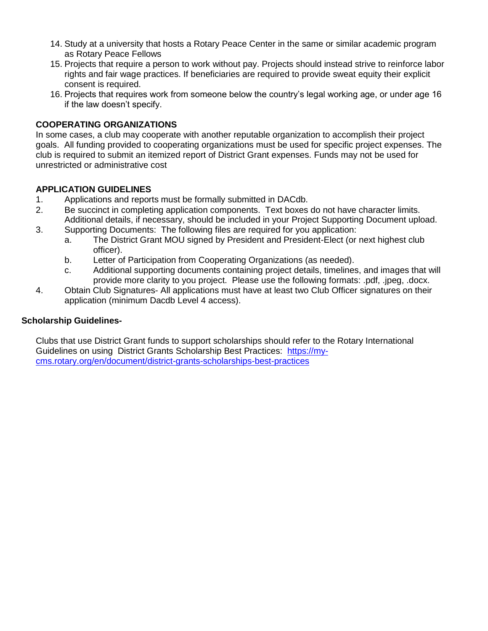- 14. Study at a university that hosts a Rotary Peace Center in the same or similar academic program as Rotary Peace Fellows
- 15. Projects that require a person to work without pay. Projects should instead strive to reinforce labor rights and fair wage practices. If beneficiaries are required to provide sweat equity their explicit consent is required.
- 16. Projects that requires work from someone below the country's legal working age, or under age 16 if the law doesn't specify.

#### **COOPERATING ORGANIZATIONS**

In some cases, a club may cooperate with another reputable organization to accomplish their project goals. All funding provided to cooperating organizations must be used for specific project expenses. The club is required to submit an itemized report of District Grant expenses. Funds may not be used for unrestricted or administrative cost

### **APPLICATION GUIDELINES**

- 1. Applications and reports must be formally submitted in DACdb.
- 2. Be succinct in completing application components. Text boxes do not have character limits. Additional details, if necessary, should be included in your Project Supporting Document upload.
- 3. Supporting Documents: The following files are required for you application:
	- a. The District Grant MOU signed by President and President-Elect (or next highest club officer).
	- b. Letter of Participation from Cooperating Organizations (as needed).
	- c. Additional supporting documents containing project details, timelines, and images that will provide more clarity to you project. Please use the following formats: .pdf, .jpeg, .docx.
- 4. Obtain Club Signatures- All applications must have at least two Club Officer signatures on their application (minimum Dacdb Level 4 access).

#### **Scholarship Guidelines-**

Clubs that use District Grant funds to support scholarships should refer to the Rotary International Guidelines on using District Grants Scholarship Best Practices: [https://my](https://my-cms.rotary.org/en/document/district-grants-scholarships-best-practices)[cms.rotary.org/en/document/district-grants-scholarships-best-practices](https://my-cms.rotary.org/en/document/district-grants-scholarships-best-practices)